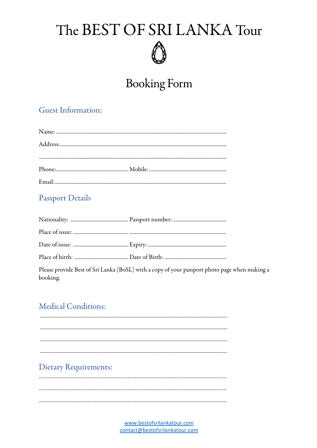#### **Booking Form**

#### **Guest Information:**

#### **Passport Details**

Please provide Best of Sri Lanka (BoSL) with a copy of your passport photo page when making a booking.

#### **Medical Conditions:**

**Dietary Requirements:** 

> www.bestofsrilankatour.com contact@bestofsrilankatour.com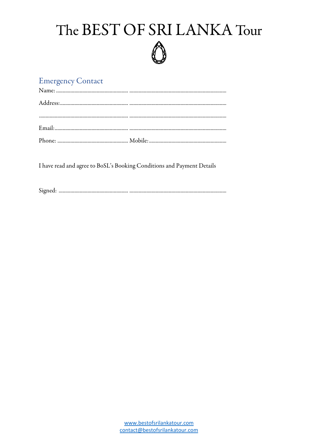#### **Emergency Contact**

I have read and agree to BoSL's Booking Conditions and Payment Details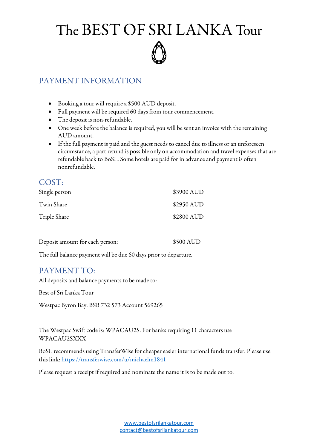

#### PAYMENT INFORMATION

- Booking a tour will require a \$500 AUD deposit.
- Full payment will be required 60 days from tour commencement.
- The deposit is non-refundable.
- One week before the balance is required, you will be sent an invoice with the remaining AUD amount.
- If the full payment is paid and the guest needs to cancel due to illness or an unforeseen circumstance, a part refund is possible only on accommodation and travel expenses that are refundable back to BoSL. Some hotels are paid for in advance and payment is often nonrefundable.

| COST:         |            |
|---------------|------------|
| Single person | \$3900 AUD |
| Twin Share    | \$2950 AUD |
| Triple Share  | \$2800 AUD |
|               |            |

| Deposit amount for each person: | \$500 AUD |
|---------------------------------|-----------|
|                                 |           |

The full balance payment will be due 60 days prior to departure.

#### PAYMENT TO:

All deposits and balance payments to be made to:

Best of Sri Lanka Tour

Westpac Byron Bay. BSB 732 573 Account 569265

The Westpac Swift code is: WPACAU2S. For banks requiring 11 characters use WPACAU2SXXX

BoSL recommends using TransferWise for cheaper easier international funds transfer. Please use this link: https://transferwise.com/u/michaelm1841

Please request a receipt if required and nominate the name it is to be made out to.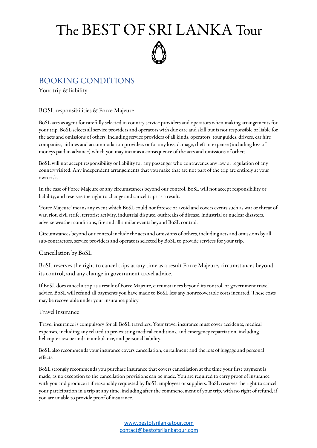#### BOOKING CONDITIONS

Your trip & liability

#### BOSL responsibilities & Force Majeure

BoSL acts as agent for carefully selected in country service providers and operators when making arrangements for your trip. BoSL selects all service providers and operators with due care and skill but is not responsible or liable for the acts and omissions of others, including service providers of all kinds, operators, tour guides, drivers, car hire companies, airlines and accommodation providers or for any loss, damage, theft orexpense (including loss of moneys paid in advance) which you may incur as aconsequence of the acts and omissions of others.

BoSL will not accept responsibility or liability for any passenger who contravenes any law or regulation of any country visited. Any independent arrangements that you make that are not part of the trip areentirely at your own risk.

In the case of Force Majeure or any circumstances beyond our control, BoSL will not accept responsibility or liability, and reserves the right to change and cancel trips as a result.

'Force Majeure' means any event which BoSL could not foresee or avoid and covers events such as war or threat of war, riot, civil strife, terrorist activity, industrial dispute, outbreaks of disease, industrial or nuclear disasters, adverse weather conditions, fire and all similar events beyond BoSL control.

Circumstances beyond our control include the acts and omissions of others, including actsand omissions by all sub-contractors, service providers and operators selected by BoSL to provide services for your trip.

#### Cancellation by BoSL

BoSL reserves the right to cancel trips at any time as a result Force Majeure, circumstances beyond its control, and any change in government travel advice.

If BoSL does cancel a trip as a result of Force Majeure, circumstances beyond its control, or government travel advice, BoSL will refund all payments you have made to BoSL less any nonrecoverable costs incurred. These costs may be recoverable under your insurance policy.

#### Travel insurance

Travel insurance is compulsory for all BoSL travellers. Your travel insurance must coveraccidents, medical expenses, including any related to pre-existing medical conditions, and emergency repatriation, including helicopter rescue and air ambulance, and personal liability.

BoSL also recommends your insurance covers cancellation, curtailment and the loss of luggage and personal effects.

BoSL strongly recommends you purchase insurance that covers cancellation at the time your first payment is made, as no exception to the cancellation provisions can be made. You are required to carry proof of insurance with you and produce it if reasonably requested by BoSL employees or suppliers. BoSL reserves the right to cancel your participation in a trip at any time, including after the commencement of your trip, with no right of refund, if you are unable to provide proof of insurance.